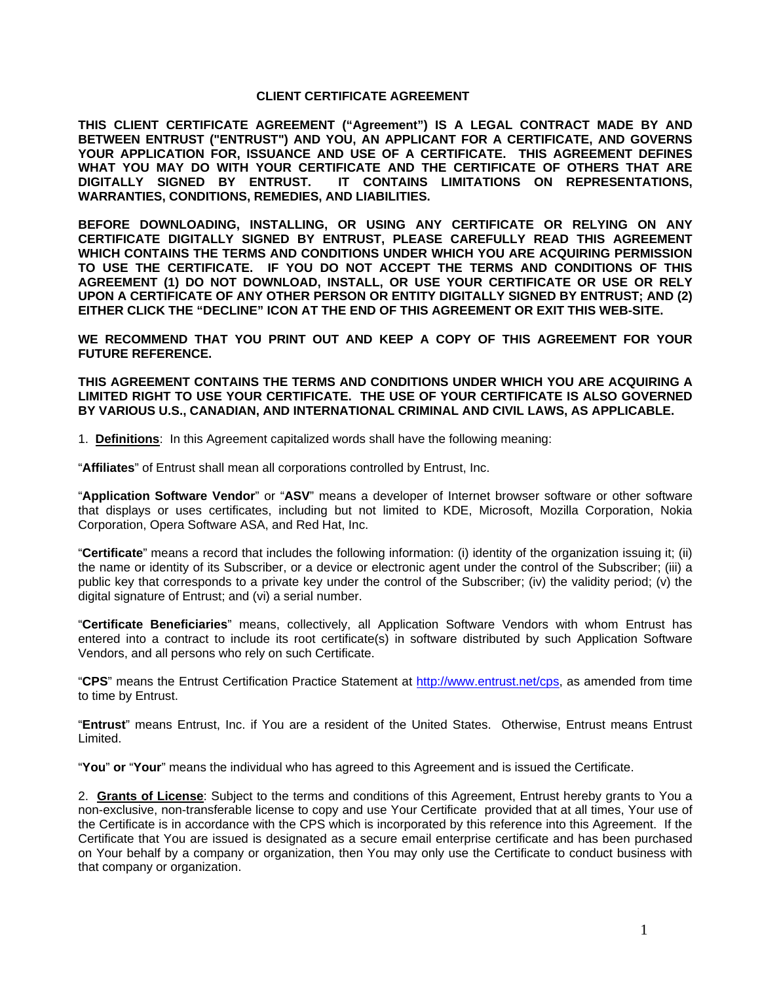## **CLIENT CERTIFICATE AGREEMENT**

**THIS CLIENT CERTIFICATE AGREEMENT ("Agreement") IS A LEGAL CONTRACT MADE BY AND BETWEEN ENTRUST ("ENTRUST") AND YOU, AN APPLICANT FOR A CERTIFICATE, AND GOVERNS YOUR APPLICATION FOR, ISSUANCE AND USE OF A CERTIFICATE. THIS AGREEMENT DEFINES WHAT YOU MAY DO WITH YOUR CERTIFICATE AND THE CERTIFICATE OF OTHERS THAT ARE DIGITALLY SIGNED BY ENTRUST. IT CONTAINS LIMITATIONS ON REPRESENTATIONS, WARRANTIES, CONDITIONS, REMEDIES, AND LIABILITIES.** 

**BEFORE DOWNLOADING, INSTALLING, OR USING ANY CERTIFICATE OR RELYING ON ANY CERTIFICATE DIGITALLY SIGNED BY ENTRUST, PLEASE CAREFULLY READ THIS AGREEMENT WHICH CONTAINS THE TERMS AND CONDITIONS UNDER WHICH YOU ARE ACQUIRING PERMISSION TO USE THE CERTIFICATE. IF YOU DO NOT ACCEPT THE TERMS AND CONDITIONS OF THIS AGREEMENT (1) DO NOT DOWNLOAD, INSTALL, OR USE YOUR CERTIFICATE OR USE OR RELY UPON A CERTIFICATE OF ANY OTHER PERSON OR ENTITY DIGITALLY SIGNED BY ENTRUST; AND (2) EITHER CLICK THE "DECLINE" ICON AT THE END OF THIS AGREEMENT OR EXIT THIS WEB-SITE.** 

**WE RECOMMEND THAT YOU PRINT OUT AND KEEP A COPY OF THIS AGREEMENT FOR YOUR FUTURE REFERENCE.** 

**THIS AGREEMENT CONTAINS THE TERMS AND CONDITIONS UNDER WHICH YOU ARE ACQUIRING A LIMITED RIGHT TO USE YOUR CERTIFICATE. THE USE OF YOUR CERTIFICATE IS ALSO GOVERNED BY VARIOUS U.S., CANADIAN, AND INTERNATIONAL CRIMINAL AND CIVIL LAWS, AS APPLICABLE.** 

1. **Definitions**: In this Agreement capitalized words shall have the following meaning:

"**Affiliates**" of Entrust shall mean all corporations controlled by Entrust, Inc.

"**Application Software Vendor**" or "**ASV**" means a developer of Internet browser software or other software that displays or uses certificates, including but not limited to KDE, Microsoft, Mozilla Corporation, Nokia Corporation, Opera Software ASA, and Red Hat, Inc.

"**Certificate**" means a record that includes the following information: (i) identity of the organization issuing it; (ii) the name or identity of its Subscriber, or a device or electronic agent under the control of the Subscriber; (iii) a public key that corresponds to a private key under the control of the Subscriber; (iv) the validity period; (v) the digital signature of Entrust; and (vi) a serial number.

"**Certificate Beneficiaries**" means, collectively, all Application Software Vendors with whom Entrust has entered into a contract to include its root certificate(s) in software distributed by such Application Software Vendors, and all persons who rely on such Certificate.

"**CPS**" means the Entrust Certification Practice Statement at http://www.entrust.net/cps, as amended from time to time by Entrust.

"**Entrust**" means Entrust, Inc. if You are a resident of the United States. Otherwise, Entrust means Entrust Limited.

"**You**" **or** "**Your**" means the individual who has agreed to this Agreement and is issued the Certificate.

2. **Grants of License**: Subject to the terms and conditions of this Agreement, Entrust hereby grants to You a non-exclusive, non-transferable license to copy and use Your Certificate provided that at all times, Your use of the Certificate is in accordance with the CPS which is incorporated by this reference into this Agreement. If the Certificate that You are issued is designated as a secure email enterprise certificate and has been purchased on Your behalf by a company or organization, then You may only use the Certificate to conduct business with that company or organization.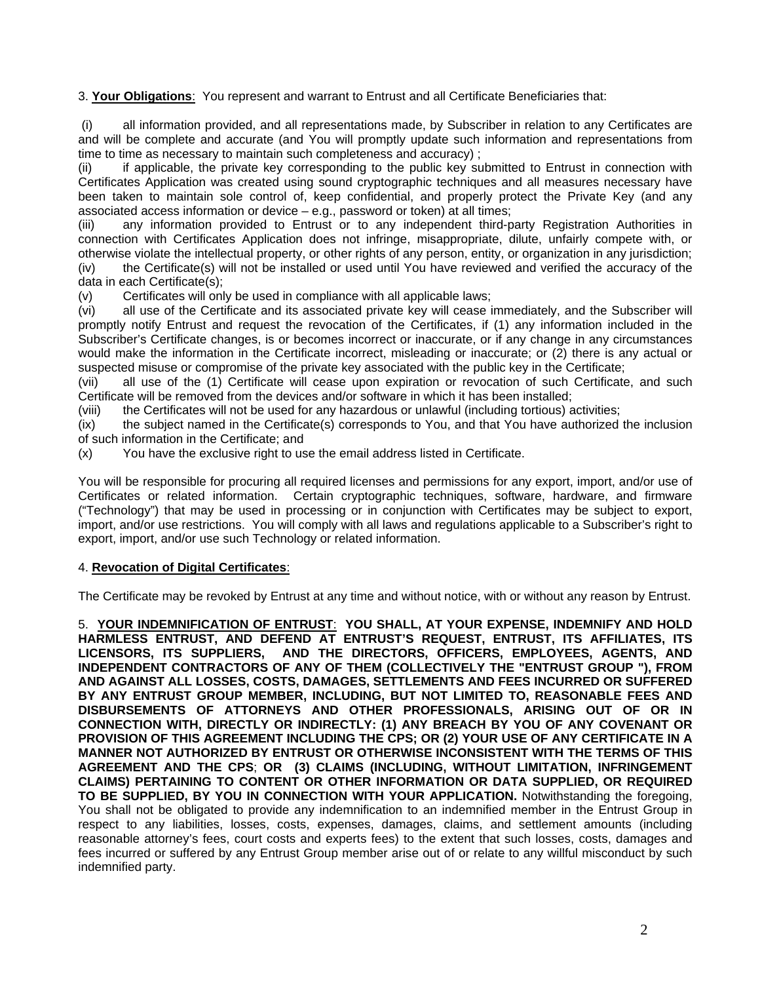3. **Your Obligations**: You represent and warrant to Entrust and all Certificate Beneficiaries that:

 (i) all information provided, and all representations made, by Subscriber in relation to any Certificates are and will be complete and accurate (and You will promptly update such information and representations from time to time as necessary to maintain such completeness and accuracy) ;

(ii) if applicable, the private key corresponding to the public key submitted to Entrust in connection with Certificates Application was created using sound cryptographic techniques and all measures necessary have been taken to maintain sole control of, keep confidential, and properly protect the Private Key (and any associated access information or device – e.g., password or token) at all times;

(iii) any information provided to Entrust or to any independent third-party Registration Authorities in connection with Certificates Application does not infringe, misappropriate, dilute, unfairly compete with, or otherwise violate the intellectual property, or other rights of any person, entity, or organization in any jurisdiction; (iv) the Certificate(s) will not be installed or used until You have reviewed and verified the accuracy of the data in each Certificate(s);

(v) Certificates will only be used in compliance with all applicable laws;

(vi) all use of the Certificate and its associated private key will cease immediately, and the Subscriber will promptly notify Entrust and request the revocation of the Certificates, if (1) any information included in the Subscriber's Certificate changes, is or becomes incorrect or inaccurate, or if any change in any circumstances would make the information in the Certificate incorrect, misleading or inaccurate; or (2) there is any actual or suspected misuse or compromise of the private key associated with the public key in the Certificate;

(vii) all use of the (1) Certificate will cease upon expiration or revocation of such Certificate, and such Certificate will be removed from the devices and/or software in which it has been installed;

(viii) the Certificates will not be used for any hazardous or unlawful (including tortious) activities;

(ix) the subject named in the Certificate(s) corresponds to You, and that You have authorized the inclusion of such information in the Certificate; and

(x) You have the exclusive right to use the email address listed in Certificate.

You will be responsible for procuring all required licenses and permissions for any export, import, and/or use of Certificates or related information. Certain cryptographic techniques, software, hardware, and firmware ("Technology") that may be used in processing or in conjunction with Certificates may be subject to export, import, and/or use restrictions. You will comply with all laws and regulations applicable to a Subscriber's right to export, import, and/or use such Technology or related information.

## 4. **Revocation of Digital Certificates**:

The Certificate may be revoked by Entrust at any time and without notice, with or without any reason by Entrust.

5. **YOUR INDEMNIFICATION OF ENTRUST**: **YOU SHALL, AT YOUR EXPENSE, INDEMNIFY AND HOLD HARMLESS ENTRUST, AND DEFEND AT ENTRUST'S REQUEST, ENTRUST, ITS AFFILIATES, ITS LICENSORS, ITS SUPPLIERS, AND THE DIRECTORS, OFFICERS, EMPLOYEES, AGENTS, AND INDEPENDENT CONTRACTORS OF ANY OF THEM (COLLECTIVELY THE "ENTRUST GROUP "), FROM AND AGAINST ALL LOSSES, COSTS, DAMAGES, SETTLEMENTS AND FEES INCURRED OR SUFFERED BY ANY ENTRUST GROUP MEMBER, INCLUDING, BUT NOT LIMITED TO, REASONABLE FEES AND DISBURSEMENTS OF ATTORNEYS AND OTHER PROFESSIONALS, ARISING OUT OF OR IN CONNECTION WITH, DIRECTLY OR INDIRECTLY: (1) ANY BREACH BY YOU OF ANY COVENANT OR PROVISION OF THIS AGREEMENT INCLUDING THE CPS; OR (2) YOUR USE OF ANY CERTIFICATE IN A MANNER NOT AUTHORIZED BY ENTRUST OR OTHERWISE INCONSISTENT WITH THE TERMS OF THIS AGREEMENT AND THE CPS**; **OR (3) CLAIMS (INCLUDING, WITHOUT LIMITATION, INFRINGEMENT CLAIMS) PERTAINING TO CONTENT OR OTHER INFORMATION OR DATA SUPPLIED, OR REQUIRED TO BE SUPPLIED, BY YOU IN CONNECTION WITH YOUR APPLICATION.** Notwithstanding the foregoing, You shall not be obligated to provide any indemnification to an indemnified member in the Entrust Group in respect to any liabilities, losses, costs, expenses, damages, claims, and settlement amounts (including reasonable attorney's fees, court costs and experts fees) to the extent that such losses, costs, damages and fees incurred or suffered by any Entrust Group member arise out of or relate to any willful misconduct by such indemnified party.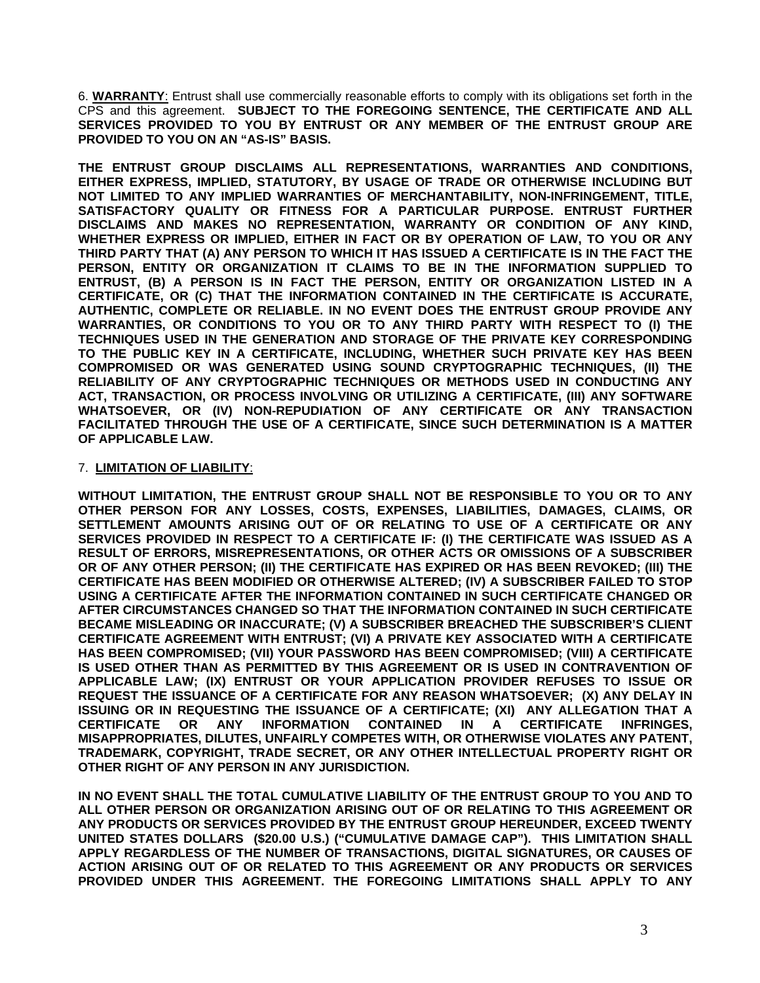6. **WARRANTY**: Entrust shall use commercially reasonable efforts to comply with its obligations set forth in the CPS and this agreement. **SUBJECT TO THE FOREGOING SENTENCE, THE CERTIFICATE AND ALL SERVICES PROVIDED TO YOU BY ENTRUST OR ANY MEMBER OF THE ENTRUST GROUP ARE PROVIDED TO YOU ON AN "AS-IS" BASIS.** 

**THE ENTRUST GROUP DISCLAIMS ALL REPRESENTATIONS, WARRANTIES AND CONDITIONS, EITHER EXPRESS, IMPLIED, STATUTORY, BY USAGE OF TRADE OR OTHERWISE INCLUDING BUT NOT LIMITED TO ANY IMPLIED WARRANTIES OF MERCHANTABILITY, NON-INFRINGEMENT, TITLE, SATISFACTORY QUALITY OR FITNESS FOR A PARTICULAR PURPOSE. ENTRUST FURTHER DISCLAIMS AND MAKES NO REPRESENTATION, WARRANTY OR CONDITION OF ANY KIND, WHETHER EXPRESS OR IMPLIED, EITHER IN FACT OR BY OPERATION OF LAW, TO YOU OR ANY THIRD PARTY THAT (A) ANY PERSON TO WHICH IT HAS ISSUED A CERTIFICATE IS IN THE FACT THE PERSON, ENTITY OR ORGANIZATION IT CLAIMS TO BE IN THE INFORMATION SUPPLIED TO ENTRUST, (B) A PERSON IS IN FACT THE PERSON, ENTITY OR ORGANIZATION LISTED IN A CERTIFICATE, OR (C) THAT THE INFORMATION CONTAINED IN THE CERTIFICATE IS ACCURATE, AUTHENTIC, COMPLETE OR RELIABLE. IN NO EVENT DOES THE ENTRUST GROUP PROVIDE ANY WARRANTIES, OR CONDITIONS TO YOU OR TO ANY THIRD PARTY WITH RESPECT TO (I) THE TECHNIQUES USED IN THE GENERATION AND STORAGE OF THE PRIVATE KEY CORRESPONDING TO THE PUBLIC KEY IN A CERTIFICATE, INCLUDING, WHETHER SUCH PRIVATE KEY HAS BEEN COMPROMISED OR WAS GENERATED USING SOUND CRYPTOGRAPHIC TECHNIQUES, (II) THE RELIABILITY OF ANY CRYPTOGRAPHIC TECHNIQUES OR METHODS USED IN CONDUCTING ANY ACT, TRANSACTION, OR PROCESS INVOLVING OR UTILIZING A CERTIFICATE, (III) ANY SOFTWARE WHATSOEVER, OR (IV) NON-REPUDIATION OF ANY CERTIFICATE OR ANY TRANSACTION FACILITATED THROUGH THE USE OF A CERTIFICATE, SINCE SUCH DETERMINATION IS A MATTER OF APPLICABLE LAW.**

## 7. **LIMITATION OF LIABILITY**:

**WITHOUT LIMITATION, THE ENTRUST GROUP SHALL NOT BE RESPONSIBLE TO YOU OR TO ANY OTHER PERSON FOR ANY LOSSES, COSTS, EXPENSES, LIABILITIES, DAMAGES, CLAIMS, OR SETTLEMENT AMOUNTS ARISING OUT OF OR RELATING TO USE OF A CERTIFICATE OR ANY SERVICES PROVIDED IN RESPECT TO A CERTIFICATE IF: (I) THE CERTIFICATE WAS ISSUED AS A RESULT OF ERRORS, MISREPRESENTATIONS, OR OTHER ACTS OR OMISSIONS OF A SUBSCRIBER OR OF ANY OTHER PERSON; (II) THE CERTIFICATE HAS EXPIRED OR HAS BEEN REVOKED; (III) THE CERTIFICATE HAS BEEN MODIFIED OR OTHERWISE ALTERED; (IV) A SUBSCRIBER FAILED TO STOP USING A CERTIFICATE AFTER THE INFORMATION CONTAINED IN SUCH CERTIFICATE CHANGED OR AFTER CIRCUMSTANCES CHANGED SO THAT THE INFORMATION CONTAINED IN SUCH CERTIFICATE BECAME MISLEADING OR INACCURATE; (V) A SUBSCRIBER BREACHED THE SUBSCRIBER'S CLIENT CERTIFICATE AGREEMENT WITH ENTRUST; (VI) A PRIVATE KEY ASSOCIATED WITH A CERTIFICATE HAS BEEN COMPROMISED; (VII) YOUR PASSWORD HAS BEEN COMPROMISED; (VIII) A CERTIFICATE IS USED OTHER THAN AS PERMITTED BY THIS AGREEMENT OR IS USED IN CONTRAVENTION OF APPLICABLE LAW; (IX) ENTRUST OR YOUR APPLICATION PROVIDER REFUSES TO ISSUE OR REQUEST THE ISSUANCE OF A CERTIFICATE FOR ANY REASON WHATSOEVER; (X) ANY DELAY IN ISSUING OR IN REQUESTING THE ISSUANCE OF A CERTIFICATE; (XI) ANY ALLEGATION THAT A CERTIFICATE OR ANY INFORMATION CONTAINED IN A CERTIFICATE INFRINGES, MISAPPROPRIATES, DILUTES, UNFAIRLY COMPETES WITH, OR OTHERWISE VIOLATES ANY PATENT, TRADEMARK, COPYRIGHT, TRADE SECRET, OR ANY OTHER INTELLECTUAL PROPERTY RIGHT OR OTHER RIGHT OF ANY PERSON IN ANY JURISDICTION.** 

**IN NO EVENT SHALL THE TOTAL CUMULATIVE LIABILITY OF THE ENTRUST GROUP TO YOU AND TO ALL OTHER PERSON OR ORGANIZATION ARISING OUT OF OR RELATING TO THIS AGREEMENT OR ANY PRODUCTS OR SERVICES PROVIDED BY THE ENTRUST GROUP HEREUNDER, EXCEED TWENTY UNITED STATES DOLLARS (\$20.00 U.S.) ("CUMULATIVE DAMAGE CAP"). THIS LIMITATION SHALL APPLY REGARDLESS OF THE NUMBER OF TRANSACTIONS, DIGITAL SIGNATURES, OR CAUSES OF ACTION ARISING OUT OF OR RELATED TO THIS AGREEMENT OR ANY PRODUCTS OR SERVICES PROVIDED UNDER THIS AGREEMENT. THE FOREGOING LIMITATIONS SHALL APPLY TO ANY**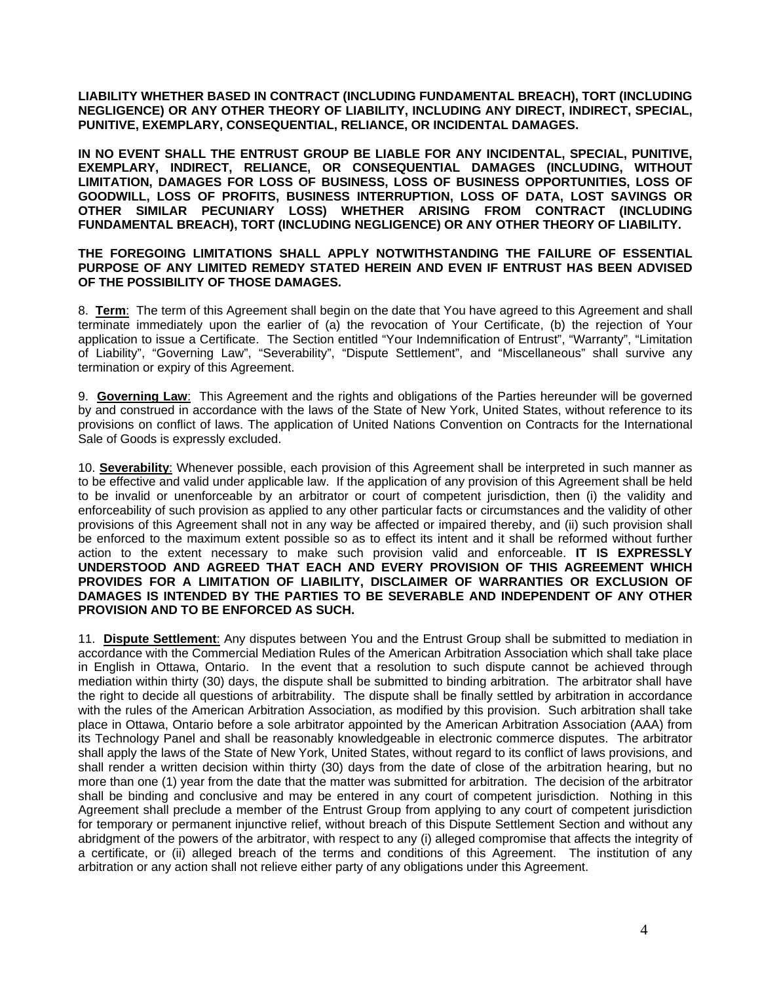**LIABILITY WHETHER BASED IN CONTRACT (INCLUDING FUNDAMENTAL BREACH), TORT (INCLUDING NEGLIGENCE) OR ANY OTHER THEORY OF LIABILITY, INCLUDING ANY DIRECT, INDIRECT, SPECIAL, PUNITIVE, EXEMPLARY, CONSEQUENTIAL, RELIANCE, OR INCIDENTAL DAMAGES.** 

**IN NO EVENT SHALL THE ENTRUST GROUP BE LIABLE FOR ANY INCIDENTAL, SPECIAL, PUNITIVE, EXEMPLARY, INDIRECT, RELIANCE, OR CONSEQUENTIAL DAMAGES (INCLUDING, WITHOUT LIMITATION, DAMAGES FOR LOSS OF BUSINESS, LOSS OF BUSINESS OPPORTUNITIES, LOSS OF GOODWILL, LOSS OF PROFITS, BUSINESS INTERRUPTION, LOSS OF DATA, LOST SAVINGS OR OTHER SIMILAR PECUNIARY LOSS) WHETHER ARISING FROM CONTRACT (INCLUDING FUNDAMENTAL BREACH), TORT (INCLUDING NEGLIGENCE) OR ANY OTHER THEORY OF LIABILITY.** 

## **THE FOREGOING LIMITATIONS SHALL APPLY NOTWITHSTANDING THE FAILURE OF ESSENTIAL PURPOSE OF ANY LIMITED REMEDY STATED HEREIN AND EVEN IF ENTRUST HAS BEEN ADVISED OF THE POSSIBILITY OF THOSE DAMAGES.**

8. **Term**: The term of this Agreement shall begin on the date that You have agreed to this Agreement and shall terminate immediately upon the earlier of (a) the revocation of Your Certificate, (b) the rejection of Your application to issue a Certificate. The Section entitled "Your Indemnification of Entrust", "Warranty", "Limitation of Liability", "Governing Law", "Severability", "Dispute Settlement", and "Miscellaneous" shall survive any termination or expiry of this Agreement.

9. **Governing Law**: This Agreement and the rights and obligations of the Parties hereunder will be governed by and construed in accordance with the laws of the State of New York, United States, without reference to its provisions on conflict of laws. The application of United Nations Convention on Contracts for the International Sale of Goods is expressly excluded.

10. **Severability**: Whenever possible, each provision of this Agreement shall be interpreted in such manner as to be effective and valid under applicable law. If the application of any provision of this Agreement shall be held to be invalid or unenforceable by an arbitrator or court of competent jurisdiction, then (i) the validity and enforceability of such provision as applied to any other particular facts or circumstances and the validity of other provisions of this Agreement shall not in any way be affected or impaired thereby, and (ii) such provision shall be enforced to the maximum extent possible so as to effect its intent and it shall be reformed without further action to the extent necessary to make such provision valid and enforceable. **IT IS EXPRESSLY UNDERSTOOD AND AGREED THAT EACH AND EVERY PROVISION OF THIS AGREEMENT WHICH PROVIDES FOR A LIMITATION OF LIABILITY, DISCLAIMER OF WARRANTIES OR EXCLUSION OF DAMAGES IS INTENDED BY THE PARTIES TO BE SEVERABLE AND INDEPENDENT OF ANY OTHER PROVISION AND TO BE ENFORCED AS SUCH.**

11. **Dispute Settlement**: Any disputes between You and the Entrust Group shall be submitted to mediation in accordance with the Commercial Mediation Rules of the American Arbitration Association which shall take place in English in Ottawa, Ontario. In the event that a resolution to such dispute cannot be achieved through mediation within thirty (30) days, the dispute shall be submitted to binding arbitration. The arbitrator shall have the right to decide all questions of arbitrability. The dispute shall be finally settled by arbitration in accordance with the rules of the American Arbitration Association, as modified by this provision. Such arbitration shall take place in Ottawa, Ontario before a sole arbitrator appointed by the American Arbitration Association (AAA) from its Technology Panel and shall be reasonably knowledgeable in electronic commerce disputes. The arbitrator shall apply the laws of the State of New York, United States, without regard to its conflict of laws provisions, and shall render a written decision within thirty (30) days from the date of close of the arbitration hearing, but no more than one (1) year from the date that the matter was submitted for arbitration. The decision of the arbitrator shall be binding and conclusive and may be entered in any court of competent jurisdiction. Nothing in this Agreement shall preclude a member of the Entrust Group from applying to any court of competent jurisdiction for temporary or permanent injunctive relief, without breach of this Dispute Settlement Section and without any abridgment of the powers of the arbitrator, with respect to any (i) alleged compromise that affects the integrity of a certificate, or (ii) alleged breach of the terms and conditions of this Agreement. The institution of any arbitration or any action shall not relieve either party of any obligations under this Agreement.